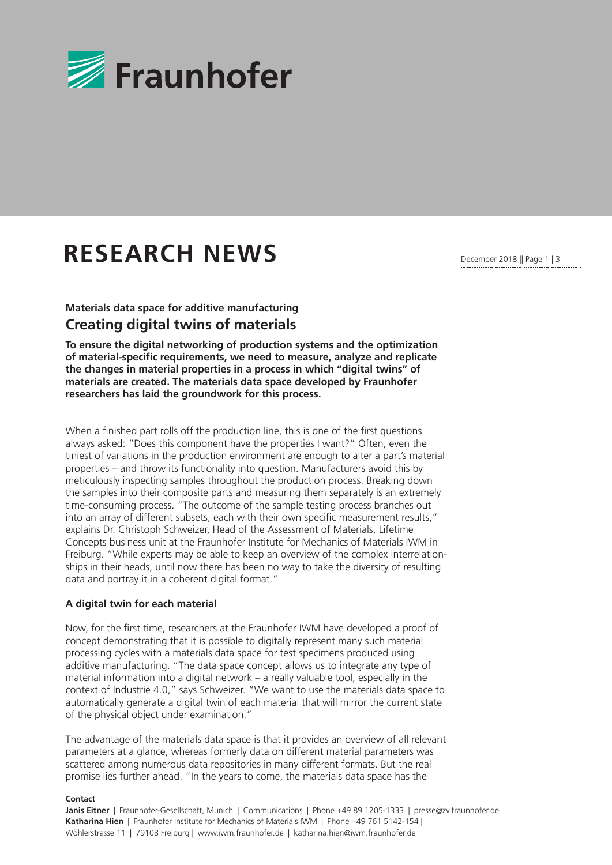

# **RESEARCH NEWS**

## **Materials data space for additive manufacturing Creating digital twins of materials**

**To ensure the digital networking of production systems and the optimization of material-specific requirements, we need to measure, analyze and replicate the changes in material properties in a process in which "digital twins" of materials are created. The materials data space developed by Fraunhofer researchers has laid the groundwork for this process.**

When a finished part rolls off the production line, this is one of the first questions always asked: "Does this component have the properties I want?" Often, even the tiniest of variations in the production environment are enough to alter a part's material properties – and throw its functionality into question. Manufacturers avoid this by meticulously inspecting samples throughout the production process. Breaking down the samples into their composite parts and measuring them separately is an extremely time-consuming process. "The outcome of the sample testing process branches out into an array of different subsets, each with their own specific measurement results," explains Dr. Christoph Schweizer, Head of the Assessment of Materials, Lifetime Concepts business unit at the Fraunhofer Institute for Mechanics of Materials IWM in Freiburg. "While experts may be able to keep an overview of the complex interrelationships in their heads, until now there has been no way to take the diversity of resulting data and portray it in a coherent digital format."

### **A digital twin for each material**

Now, for the first time, researchers at the Fraunhofer IWM have developed a proof of concept demonstrating that it is possible to digitally represent many such material processing cycles with a materials data space for test specimens produced using additive manufacturing. "The data space concept allows us to integrate any type of material information into a digital network – a really valuable tool, especially in the context of Industrie 4.0," says Schweizer. "We want to use the materials data space to automatically generate a digital twin of each material that will mirror the current state of the physical object under examination."

The advantage of the materials data space is that it provides an overview of all relevant parameters at a glance, whereas formerly data on different material parameters was scattered among numerous data repositories in many different formats. But the real promise lies further ahead. "In the years to come, the materials data space has the

#### **Contact**

December 2018 || Page 1 | 3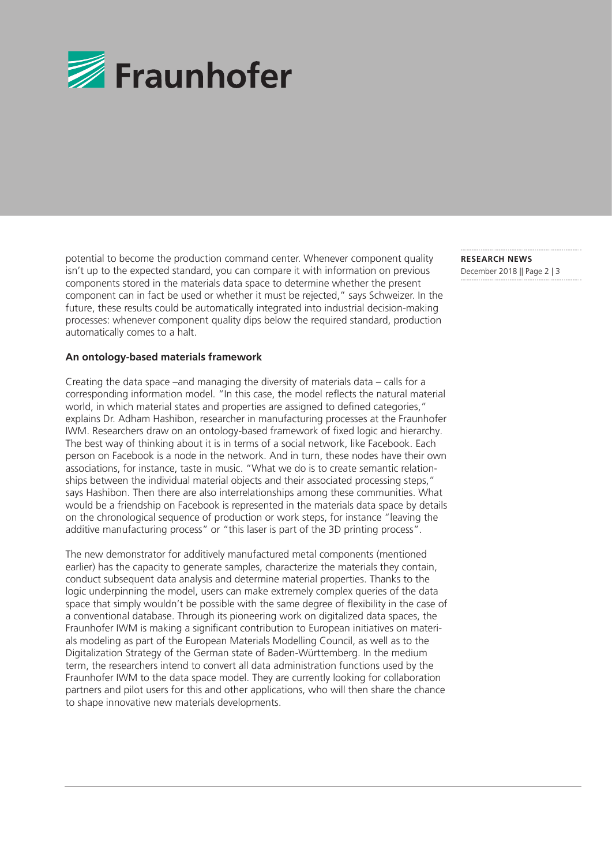

potential to become the production command center. Whenever component quality isn't up to the expected standard, you can compare it with information on previous components stored in the materials data space to determine whether the present component can in fact be used or whether it must be rejected," says Schweizer. In the future, these results could be automatically integrated into industrial decision-making processes: whenever component quality dips below the required standard, production automatically comes to a halt.

#### **An ontology-based materials framework**

Creating the data space –and managing the diversity of materials data – calls for a corresponding information model. "In this case, the model reflects the natural material world, in which material states and properties are assigned to defined categories," explains Dr. Adham Hashibon, researcher in manufacturing processes at the Fraunhofer IWM. Researchers draw on an ontology-based framework of fixed logic and hierarchy. The best way of thinking about it is in terms of a social network, like Facebook. Each person on Facebook is a node in the network. And in turn, these nodes have their own associations, for instance, taste in music. "What we do is to create semantic relationships between the individual material objects and their associated processing steps," says Hashibon. Then there are also interrelationships among these communities. What would be a friendship on Facebook is represented in the materials data space by details on the chronological sequence of production or work steps, for instance "leaving the additive manufacturing process" or "this laser is part of the 3D printing process".

The new demonstrator for additively manufactured metal components (mentioned earlier) has the capacity to generate samples, characterize the materials they contain, conduct subsequent data analysis and determine material properties. Thanks to the logic underpinning the model, users can make extremely complex queries of the data space that simply wouldn't be possible with the same degree of flexibility in the case of a conventional database. Through its pioneering work on digitalized data spaces, the Fraunhofer IWM is making a significant contribution to European initiatives on materials modeling as part of the European Materials Modelling Council, as well as to the Digitalization Strategy of the German state of Baden-Württemberg. In the medium term, the researchers intend to convert all data administration functions used by the Fraunhofer IWM to the data space model. They are currently looking for collaboration partners and pilot users for this and other applications, who will then share the chance to shape innovative new materials developments.

**RESEARCH NEWS**  December 2018 || Page 2 | 3